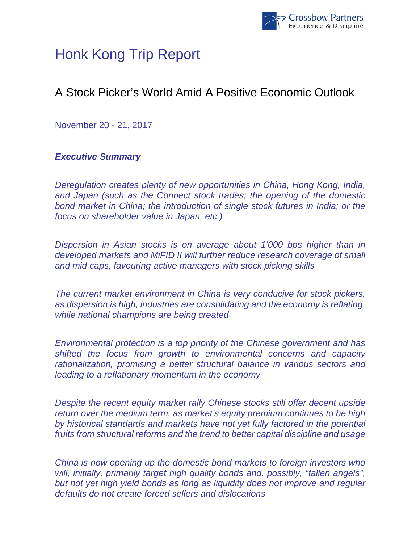

# Honk Kong Trip Report

# A Stock Picker's World Amid A Positive Economic Outlook

November 20 - 21, 2017

# *Executive Summary*

*Deregulation creates plenty of new opportunities in China, Hong Kong, India, and Japan (such as the Connect stock trades; the opening of the domestic bond market in China; the introduction of single stock futures in India; or the focus on shareholder value in Japan, etc.)* 

*Dispersion in Asian stocks is on average about 1'000 bps higher than in developed markets and MiFID II will further reduce research coverage of small and mid caps, favouring active managers with stock picking skills* 

*The current market environment in China is very conducive for stock pickers, as dispersion is high, industries are consolidating and the economy is reflating, while national champions are being created* 

*Environmental protection is a top priority of the Chinese government and has shifted the focus from growth to environmental concerns and capacity rationalization, promising a better structural balance in various sectors and leading to a reflationary momentum in the economy* 

*Despite the recent equity market rally Chinese stocks still offer decent upside return over the medium term, as market's equity premium continues to be high by historical standards and markets have not yet fully factored in the potential fruits from structural reforms and the trend to better capital discipline and usage* 

*China is now opening up the domestic bond markets to foreign investors who will, initially, primarily target high quality bonds and, possibly, "fallen angels", but not yet high yield bonds as long as liquidity does not improve and regular defaults do not create forced sellers and dislocations*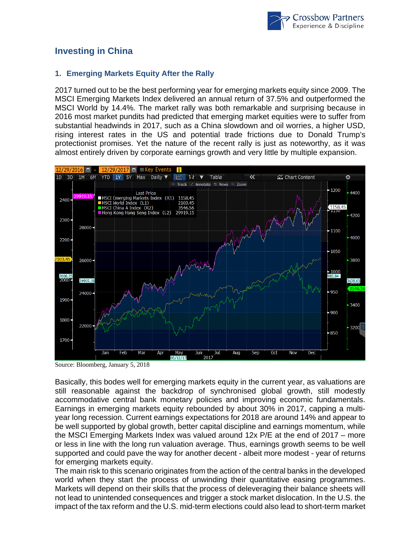

## **Investing in China**

#### **1. Emerging Markets Equity After the Rally**

2017 turned out to be the best performing year for emerging markets equity since 2009. The MSCI Emerging Markets Index delivered an annual return of 37.5% and outperformed the MSCI World by 14.4%. The market rally was both remarkable and surprising because in 2016 most market pundits had predicted that emerging market equities were to suffer from substantial headwinds in 2017, such as a China slowdown and oil worries, a higher USD, rising interest rates in the US and potential trade frictions due to Donald Trump's protectionist promises. Yet the nature of the recent rally is just as noteworthy, as it was almost entirely driven by corporate earnings growth and very little by multiple expansion.



Source: Bloomberg, January 5, 2018

Basically, this bodes well for emerging markets equity in the current year, as valuations are still reasonable against the backdrop of synchronised global growth, still modestly accommodative central bank monetary policies and improving economic fundamentals. Earnings in emerging markets equity rebounded by about 30% in 2017, capping a multiyear long recession. Current earnings expectations for 2018 are around 14% and appear to be well supported by global growth, better capital discipline and earnings momentum, while the MSCI Emerging Markets Index was valued around 12x P/E at the end of 2017 – more or less in line with the long run valuation average. Thus, earnings growth seems to be well supported and could pave the way for another decent - albeit more modest - year of returns for emerging markets equity.

The main risk to this scenario originates from the action of the central banks in the developed world when they start the process of unwinding their quantitative easing programmes. Markets will depend on their skills that the process of deleveraging their balance sheets will not lead to unintended consequences and trigger a stock market dislocation. In the U.S. the impact of the tax reform and the U.S. mid-term elections could also lead to short-term market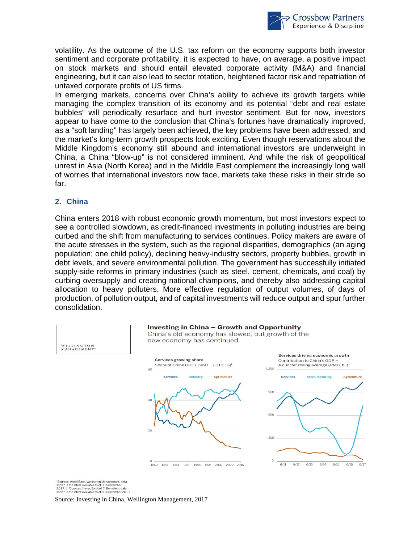

volatility. As the outcome of the U.S. tax reform on the economy supports both investor sentiment and corporate profitability, it is expected to have, on average, a positive impact on stock markets and should entail elevated corporate activity (M&A) and financial engineering, but it can also lead to sector rotation, heightened factor risk and repatriation of untaxed corporate profits of US firms.

In emerging markets, concerns over China's ability to achieve its growth targets while managing the complex transition of its economy and its potential "debt and real estate bubbles" will periodically resurface and hurt investor sentiment. But for now, investors appear to have come to the conclusion that China's fortunes have dramatically improved, as a "soft landing" has largely been achieved, the key problems have been addressed, and the market's long-term growth prospects look exciting. Even though reservations about the Middle Kingdom's economy still abound and international investors are underweight in China, a China "blow-up" is not considered imminent. And while the risk of geopolitical unrest in Asia (North Korea) and in the Middle East complement the increasingly long wall of worries that international investors now face, markets take these risks in their stride so far.

#### **2. China**

China enters 2018 with robust economic growth momentum, but most investors expect to see a controlled slowdown, as credit-financed investments in polluting industries are being curbed and the shift from manufacturing to services continues. Policy makers are aware of the acute stresses in the system, such as the regional disparities, demographics (an aging population; one child policy), declining heavy-industry sectors, property bubbles, growth in debt levels, and severe environmental pollution. The government has successfully initiated supply-side reforms in primary industries (such as steel, cement, chemicals, and coal) by curbing oversupply and creating national champions, and thereby also addressing capital allocation to heavy polluters. More effective regulation of output volumes, of days of production, of pollution output, and of capital investments will reduce output and spur further consolidation.



<sup>1</sup>Sources: World Bank, Wellington Management, data<br>shown is the latest available as of 30 September<br>2017 | <sup>2</sup>Sources: Haver, Sanford C. Bernstein, data<br>shown is the latest available as of 30 September 2017<br>**SOUICE: Inves**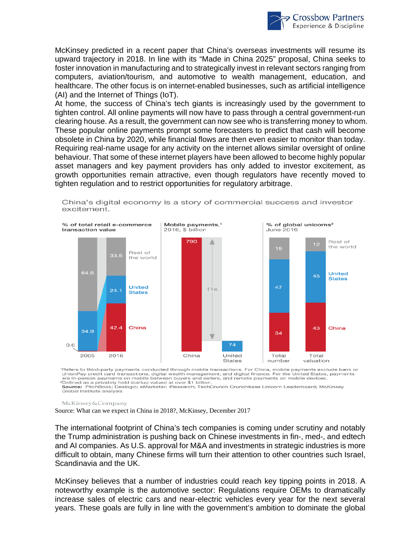

McKinsey predicted in a recent paper that China's overseas investments will resume its upward trajectory in 2018. In line with its "Made in China 2025" proposal, China seeks to foster innovation in manufacturing and to strategically invest in relevant sectors ranging from computers, aviation/tourism, and automotive to wealth management, education, and healthcare. The other focus is on internet-enabled businesses, such as artificial intelligence (AI) and the Internet of Things (IoT).

At home, the success of China's tech giants is increasingly used by the government to tighten control. All online payments will now have to pass through a central government-run clearing house. As a result, the government can now see who is transferring money to whom. These popular online payments prompt some forecasters to predict that cash will become obsolete in China by 2020, while financial flows are then even easier to monitor than today. Requiring real-name usage for any activity on the internet allows similar oversight of online behaviour. That some of these internet players have been allowed to become highly popular asset managers and key payment providers has only added to investor excitement, as growth opportunities remain attractive, even though regulators have recently moved to tighten regulation and to restrict opportunities for regulatory arbitrage.



China's digital economy is a story of commercial success and investor excitement.

Refers to third-party payments conducted through mobile transactions. For China, mobile payments exclude bank or DionPay credit card transactions, digital wealth management, and digital finance. For the United States, payments<br>are in-person payments on mobile between buyers and sellers, and remote payments on mobile devices.<br><sup>2</sup>Defin

Source: PitchBook; Dealogic; eMarketer; iResearch; TechCrunch Crunchbase Unicorn Leaderboard; McKinsey Global Institute analysis

McKinsey&Company

Source: What can we expect in China in 2018?, McKinsey, December 2017

The international footprint of China's tech companies is coming under scrutiny and notably the Trump administration is pushing back on Chinese investments in fin-, med-, and edtech and AI companies. As U.S. approval for M&A and investments in strategic industries is more difficult to obtain, many Chinese firms will turn their attention to other countries such Israel, Scandinavia and the UK.

McKinsey believes that a number of industries could reach key tipping points in 2018. A noteworthy example is the automotive sector: Regulations require OEMs to dramatically increase sales of electric cars and near-electric vehicles every year for the next several years. These goals are fully in line with the government's ambition to dominate the global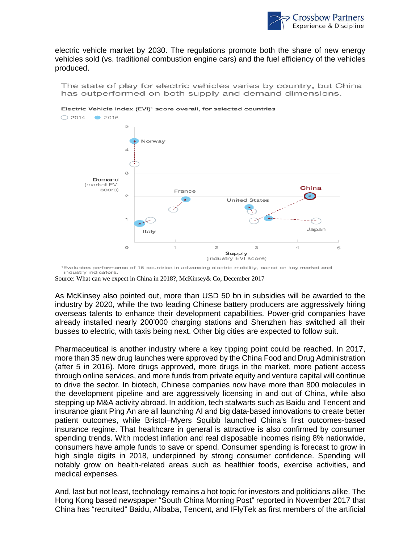

electric vehicle market by 2030. The regulations promote both the share of new energy vehicles sold (vs. traditional combustion engine cars) and the fuel efficiency of the vehicles produced.

The state of play for electric vehicles varies by country, but China has outperformed on both supply and demand dimensions.



Electric Vehicle Index (EVI)<sup>1</sup> score overall, for selected countries

As McKinsey also pointed out, more than USD 50 bn in subsidies will be awarded to the industry by 2020, while the two leading Chinese battery producers are aggressively hiring overseas talents to enhance their development capabilities. Power-grid companies have already installed nearly 200'000 charging stations and Shenzhen has switched all their busses to electric, with taxis being next. Other big cities are expected to follow suit.

Pharmaceutical is another industry where a key tipping point could be reached. In 2017, more than 35 new drug launches were approved by the China Food and Drug Administration (after 5 in 2016). More drugs approved, more drugs in the market, more patient access through online services, and more funds from private equity and venture capital will continue to drive the sector. In biotech, Chinese companies now have more than 800 molecules in the development pipeline and are aggressively licensing in and out of China, while also stepping up M&A activity abroad. In addition, tech stalwarts such as Baidu and Tencent and insurance giant Ping An are all launching AI and big data-based innovations to create better patient outcomes, while Bristol–Myers Squibb launched China's first outcomes-based insurance regime. That healthcare in general is attractive is also confirmed by consumer spending trends. With modest inflation and real disposable incomes rising 8% nationwide, consumers have ample funds to save or spend. Consumer spending is forecast to grow in high single digits in 2018, underpinned by strong consumer confidence. Spending will notably grow on health-related areas such as healthier foods, exercise activities, and medical expenses.

And, last but not least, technology remains a hot topic for investors and politicians alike. The Hong Kong based newspaper "South China Morning Post" reported in November 2017 that China has "recruited" Baidu, Alibaba, Tencent, and IFlyTek as first members of the artificial

Evaluates performance of 15 countries in advancing electric mobility, based on key market and industry indicators.

Source: What can we expect in China in 2018?, McKinsey& Co, December 2017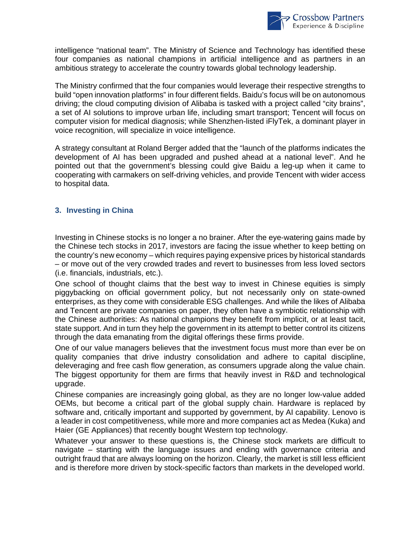

intelligence "national team". The Ministry of Science and Technology has identified these four companies as national champions in artificial intelligence and as partners in an ambitious strategy to accelerate the country towards global technology leadership.

The Ministry confirmed that the four companies would leverage their respective strengths to build "open innovation platforms" in four different fields. Baidu's focus will be on autonomous driving; the cloud computing division of Alibaba is tasked with a project called "city brains", a set of AI solutions to improve urban life, including smart transport; Tencent will focus on computer vision for medical diagnosis; while Shenzhen-listed iFlyTek, a dominant player in voice recognition, will specialize in voice intelligence.

A strategy consultant at Roland Berger added that the "launch of the platforms indicates the development of AI has been upgraded and pushed ahead at a national level". And he pointed out that the government's blessing could give Baidu a leg-up when it came to cooperating with carmakers on self-driving vehicles, and provide Tencent with wider access to hospital data.

### **3. Investing in China**

Investing in Chinese stocks is no longer a no brainer. After the eye-watering gains made by the Chinese tech stocks in 2017, investors are facing the issue whether to keep betting on the country's new economy – which requires paying expensive prices by historical standards – or move out of the very crowded trades and revert to businesses from less loved sectors (i.e. financials, industrials, etc.).

One school of thought claims that the best way to invest in Chinese equities is simply piggybacking on official government policy, but not necessarily only on state-owned enterprises, as they come with considerable ESG challenges. And while the likes of Alibaba and Tencent are private companies on paper, they often have a symbiotic relationship with the Chinese authorities: As national champions they benefit from implicit, or at least tacit, state support. And in turn they help the government in its attempt to better control its citizens through the data emanating from the digital offerings these firms provide.

One of our value managers believes that the investment focus must more than ever be on quality companies that drive industry consolidation and adhere to capital discipline, deleveraging and free cash flow generation, as consumers upgrade along the value chain. The biggest opportunity for them are firms that heavily invest in R&D and technological upgrade.

Chinese companies are increasingly going global, as they are no longer low-value added OEMs, but become a critical part of the global supply chain. Hardware is replaced by software and, critically important and supported by government, by AI capability. Lenovo is a leader in cost competitiveness, while more and more companies act as Medea (Kuka) and Haier (GE Appliances) that recently bought Western top technology.

Whatever your answer to these questions is, the Chinese stock markets are difficult to navigate – starting with the language issues and ending with governance criteria and outright fraud that are always looming on the horizon. Clearly, the market is still less efficient and is therefore more driven by stock-specific factors than markets in the developed world.